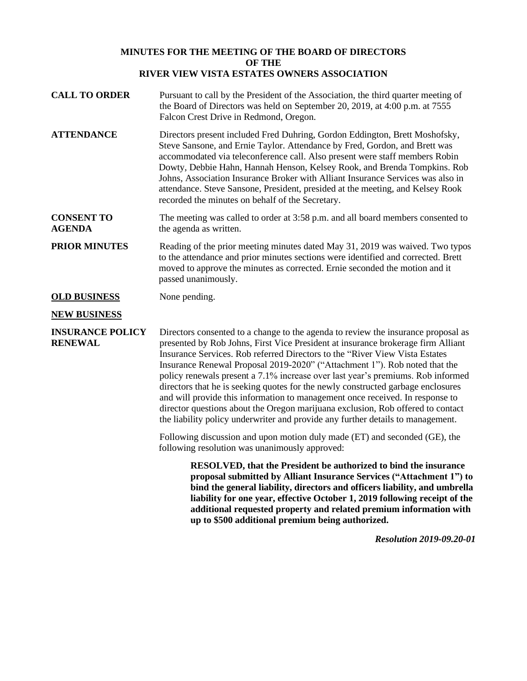## **MINUTES FOR THE MEETING OF THE BOARD OF DIRECTORS OF THE RIVER VIEW VISTA ESTATES OWNERS ASSOCIATION**

- **CALL TO ORDER** Pursuant to call by the President of the Association, the third quarter meeting of the Board of Directors was held on September 20, 2019, at 4:00 p.m. at 7555 Falcon Crest Drive in Redmond, Oregon.
- **ATTENDANCE** Directors present included Fred Duhring, Gordon Eddington, Brett Moshofsky, Steve Sansone, and Ernie Taylor. Attendance by Fred, Gordon, and Brett was accommodated via teleconference call. Also present were staff members Robin Dowty, Debbie Hahn, Hannah Henson, Kelsey Rook, and Brenda Tompkins. Rob Johns, Association Insurance Broker with Alliant Insurance Services was also in attendance. Steve Sansone, President, presided at the meeting, and Kelsey Rook recorded the minutes on behalf of the Secretary.
- **CONSENT TO AGENDA** The meeting was called to order at 3:58 p.m. and all board members consented to the agenda as written.

**PRIOR MINUTES** Reading of the prior meeting minutes dated May 31, 2019 was waived. Two typos to the attendance and prior minutes sections were identified and corrected. Brett moved to approve the minutes as corrected. Ernie seconded the motion and it passed unanimously.

**OLD BUSINESS** None pending.

## **NEW BUSINESS**

**INSURANCE POLICY RENEWAL**

Directors consented to a change to the agenda to review the insurance proposal as presented by Rob Johns, First Vice President at insurance brokerage firm Alliant Insurance Services. Rob referred Directors to the "River View Vista Estates Insurance Renewal Proposal 2019-2020" ("Attachment 1"). Rob noted that the policy renewals present a 7.1% increase over last year's premiums. Rob informed directors that he is seeking quotes for the newly constructed garbage enclosures and will provide this information to management once received. In response to director questions about the Oregon marijuana exclusion, Rob offered to contact the liability policy underwriter and provide any further details to management.

Following discussion and upon motion duly made (ET) and seconded (GE), the following resolution was unanimously approved:

> **RESOLVED, that the President be authorized to bind the insurance proposal submitted by Alliant Insurance Services ("Attachment 1") to bind the general liability, directors and officers liability, and umbrella liability for one year, effective October 1, 2019 following receipt of the additional requested property and related premium information with up to \$500 additional premium being authorized.**

> > *Resolution 2019-09.20-01*